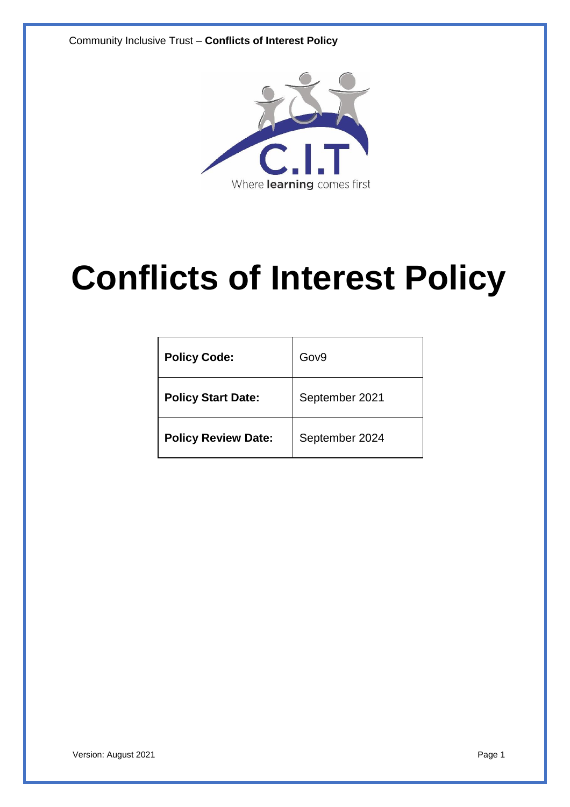Community Inclusive Trust – **Conflicts of Interest Policy**



# **Conflicts of Interest Policy**

| <b>Policy Code:</b>        | Gov9           |
|----------------------------|----------------|
| <b>Policy Start Date:</b>  | September 2021 |
| <b>Policy Review Date:</b> | September 2024 |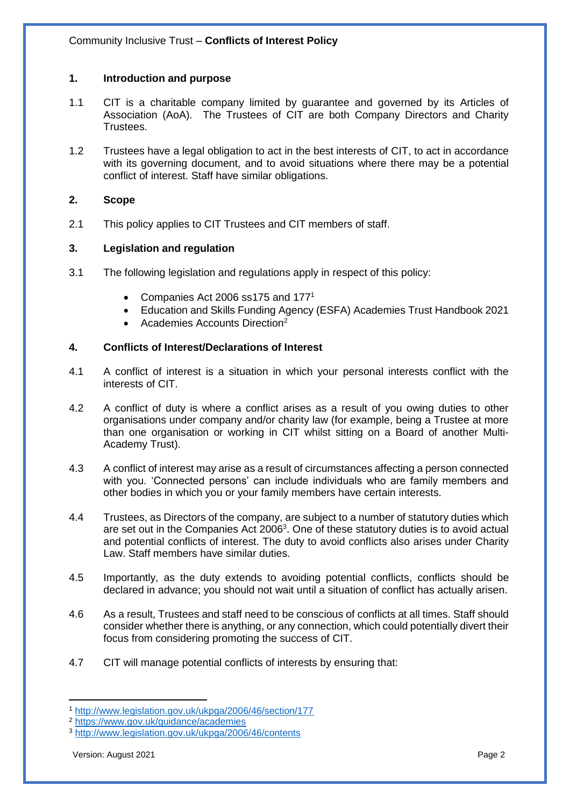# **1. Introduction and purpose**

- 1.1 CIT is a charitable company limited by guarantee and governed by its Articles of Association (AoA). The Trustees of CIT are both Company Directors and Charity Trustees.
- 1.2 Trustees have a legal obligation to act in the best interests of CIT, to act in accordance with its governing document, and to avoid situations where there may be a potential conflict of interest. Staff have similar obligations.

# **2. Scope**

2.1 This policy applies to CIT Trustees and CIT members of staff.

## **3. Legislation and regulation**

- 3.1 The following legislation and regulations apply in respect of this policy:
	- Companies Act 2006 ss175 and 1771
	- Education and Skills Funding Agency (ESFA) Academies Trust Handbook 2021
	- Academies Accounts Direction<sup>2</sup>

## **4. Conflicts of Interest/Declarations of Interest**

- 4.1 A conflict of interest is a situation in which your personal interests conflict with the interests of CIT.
- 4.2 A conflict of duty is where a conflict arises as a result of you owing duties to other organisations under company and/or charity law (for example, being a Trustee at more than one organisation or working in CIT whilst sitting on a Board of another Multi-Academy Trust).
- 4.3 A conflict of interest may arise as a result of circumstances affecting a person connected with you. 'Connected persons' can include individuals who are family members and other bodies in which you or your family members have certain interests.
- 4.4 Trustees, as Directors of the company, are subject to a number of statutory duties which are set out in the Companies Act 2006<sup>3</sup>. One of these statutory duties is to avoid actual and potential conflicts of interest. The duty to avoid conflicts also arises under Charity Law. Staff members have similar duties.
- 4.5 Importantly, as the duty extends to avoiding potential conflicts, conflicts should be declared in advance; you should not wait until a situation of conflict has actually arisen.
- 4.6 As a result, Trustees and staff need to be conscious of conflicts at all times. Staff should consider whether there is anything, or any connection, which could potentially divert their focus from considering promoting the success of CIT.
- 4.7 CIT will manage potential conflicts of interests by ensuring that:

 $\overline{a}$ 

<sup>1</sup> <http://www.legislation.gov.uk/ukpga/2006/46/section/177>

<sup>2</sup> [https://www.gov.uk/guidance/academies](https://www.gov.uk/guidance/academies-accounts-direction)

<sup>3</sup> <http://www.legislation.gov.uk/ukpga/2006/46/contents>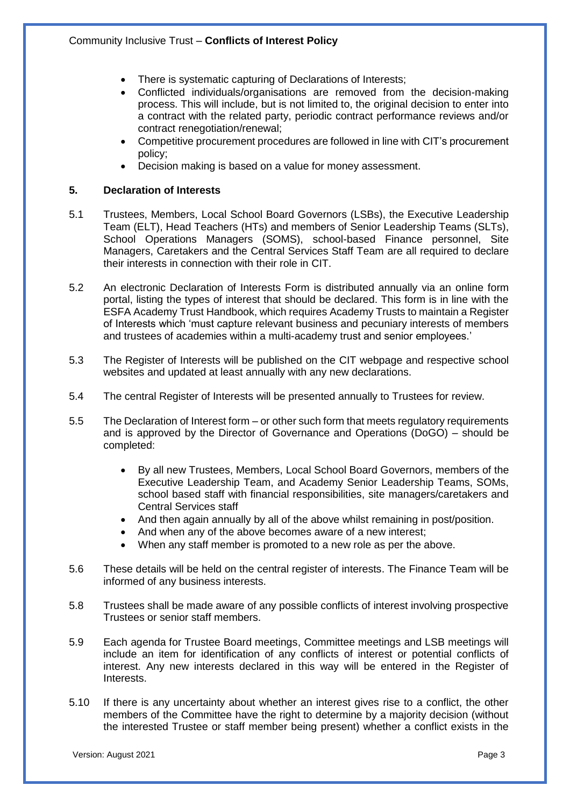- There is systematic capturing of Declarations of Interests;
- Conflicted individuals/organisations are removed from the decision-making process. This will include, but is not limited to, the original decision to enter into a contract with the related party, periodic contract performance reviews and/or contract renegotiation/renewal;
- Competitive procurement procedures are followed in line with CIT's procurement policy;
- Decision making is based on a value for money assessment.

# **5. Declaration of Interests**

- 5.1 Trustees, Members, Local School Board Governors (LSBs), the Executive Leadership Team (ELT), Head Teachers (HTs) and members of Senior Leadership Teams (SLTs), School Operations Managers (SOMS), school-based Finance personnel, Site Managers, Caretakers and the Central Services Staff Team are all required to declare their interests in connection with their role in CIT.
- 5.2 An electronic Declaration of Interests Form is distributed annually via an online form portal, listing the types of interest that should be declared. This form is in line with the ESFA Academy Trust Handbook, which requires Academy Trusts to maintain a Register of Interests which 'must capture relevant business and pecuniary interests of members and trustees of academies within a multi-academy trust and senior employees.'
- 5.3 The Register of Interests will be published on the CIT webpage and respective school websites and updated at least annually with any new declarations.
- 5.4 The central Register of Interests will be presented annually to Trustees for review.
- 5.5 The Declaration of Interest form or other such form that meets regulatory requirements and is approved by the Director of Governance and Operations (DoGO) – should be completed:
	- By all new Trustees, Members, Local School Board Governors, members of the Executive Leadership Team, and Academy Senior Leadership Teams, SOMs, school based staff with financial responsibilities, site managers/caretakers and Central Services staff
	- And then again annually by all of the above whilst remaining in post/position.
	- And when any of the above becomes aware of a new interest;
	- When any staff member is promoted to a new role as per the above.
- 5.6 These details will be held on the central register of interests. The Finance Team will be informed of any business interests.
- 5.8 Trustees shall be made aware of any possible conflicts of interest involving prospective Trustees or senior staff members.
- 5.9 Each agenda for Trustee Board meetings, Committee meetings and LSB meetings will include an item for identification of any conflicts of interest or potential conflicts of interest. Any new interests declared in this way will be entered in the Register of Interests.
- 5.10 If there is any uncertainty about whether an interest gives rise to a conflict, the other members of the Committee have the right to determine by a majority decision (without the interested Trustee or staff member being present) whether a conflict exists in the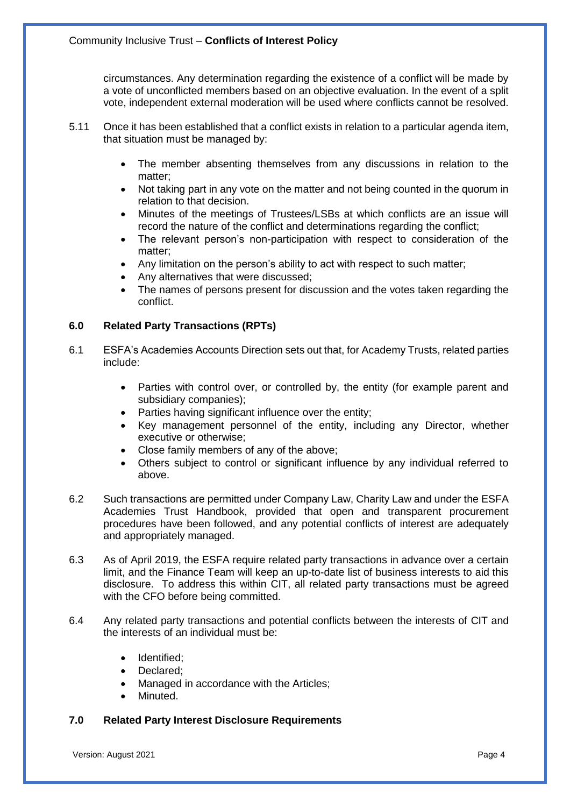circumstances. Any determination regarding the existence of a conflict will be made by a vote of unconflicted members based on an objective evaluation. In the event of a split vote, independent external moderation will be used where conflicts cannot be resolved.

- 5.11 Once it has been established that a conflict exists in relation to a particular agenda item, that situation must be managed by:
	- The member absenting themselves from any discussions in relation to the matter;
	- Not taking part in any vote on the matter and not being counted in the quorum in relation to that decision.
	- Minutes of the meetings of Trustees/LSBs at which conflicts are an issue will record the nature of the conflict and determinations regarding the conflict;
	- The relevant person's non-participation with respect to consideration of the matter;
	- Any limitation on the person's ability to act with respect to such matter;
	- Any alternatives that were discussed;
	- The names of persons present for discussion and the votes taken regarding the conflict.

# **6.0 Related Party Transactions (RPTs)**

- 6.1 ESFA's Academies Accounts Direction sets out that, for Academy Trusts, related parties include:
	- Parties with control over, or controlled by, the entity (for example parent and subsidiary companies);
	- Parties having significant influence over the entity;
	- Key management personnel of the entity, including any Director, whether executive or otherwise;
	- Close family members of any of the above;
	- Others subject to control or significant influence by any individual referred to above.
- 6.2 Such transactions are permitted under Company Law, Charity Law and under the ESFA Academies Trust Handbook, provided that open and transparent procurement procedures have been followed, and any potential conflicts of interest are adequately and appropriately managed.
- 6.3 As of April 2019, the ESFA require related party transactions in advance over a certain limit, and the Finance Team will keep an up-to-date list of business interests to aid this disclosure. To address this within CIT, all related party transactions must be agreed with the CFO before being committed.
- 6.4 Any related party transactions and potential conflicts between the interests of CIT and the interests of an individual must be:
	- Identified;
	- Declared:
	- Managed in accordance with the Articles;
	- Minuted.

#### **7.0 Related Party Interest Disclosure Requirements**

Version: August 2021 Page 4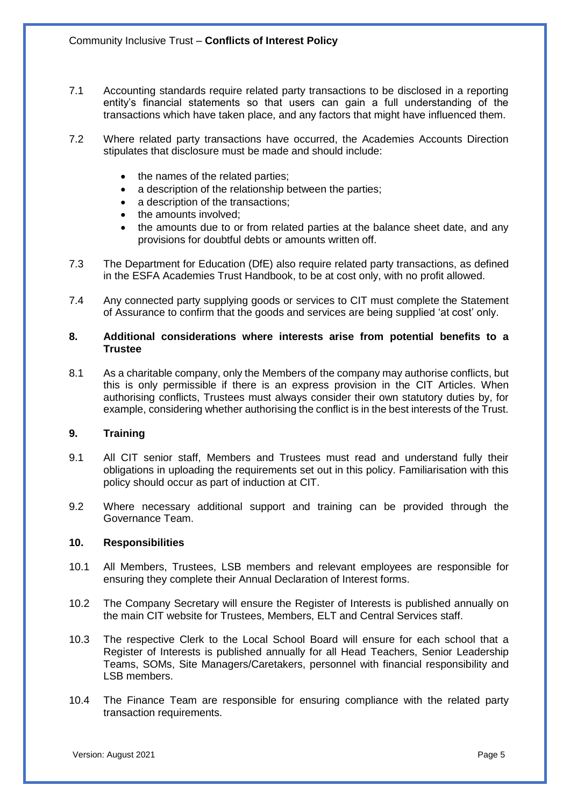- 7.1 Accounting standards require related party transactions to be disclosed in a reporting entity's financial statements so that users can gain a full understanding of the transactions which have taken place, and any factors that might have influenced them.
- 7.2 Where related party transactions have occurred, the Academies Accounts Direction stipulates that disclosure must be made and should include:
	- the names of the related parties;
	- a description of the relationship between the parties;
	- a description of the transactions;
	- the amounts involved:
	- the amounts due to or from related parties at the balance sheet date, and any provisions for doubtful debts or amounts written off.
- 7.3 The Department for Education (DfE) also require related party transactions, as defined in the ESFA Academies Trust Handbook, to be at cost only, with no profit allowed.
- 7.4 Any connected party supplying goods or services to CIT must complete the Statement of Assurance to confirm that the goods and services are being supplied 'at cost' only.

#### **8. Additional considerations where interests arise from potential benefits to a Trustee**

8.1 As a charitable company, only the Members of the company may authorise conflicts, but this is only permissible if there is an express provision in the CIT Articles. When authorising conflicts, Trustees must always consider their own statutory duties by, for example, considering whether authorising the conflict is in the best interests of the Trust.

#### **9. Training**

- 9.1 All CIT senior staff, Members and Trustees must read and understand fully their obligations in uploading the requirements set out in this policy. Familiarisation with this policy should occur as part of induction at CIT.
- 9.2 Where necessary additional support and training can be provided through the Governance Team.

## **10. Responsibilities**

- 10.1 All Members, Trustees, LSB members and relevant employees are responsible for ensuring they complete their Annual Declaration of Interest forms.
- 10.2 The Company Secretary will ensure the Register of Interests is published annually on the main CIT website for Trustees, Members, ELT and Central Services staff.
- 10.3 The respective Clerk to the Local School Board will ensure for each school that a Register of Interests is published annually for all Head Teachers, Senior Leadership Teams, SOMs, Site Managers/Caretakers, personnel with financial responsibility and LSB members.
- 10.4 The Finance Team are responsible for ensuring compliance with the related party transaction requirements.